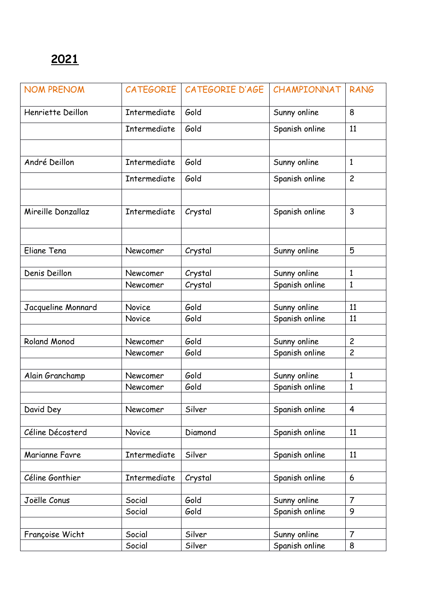| <b>NOM PRENOM</b>   | CATEGORIE    | CATEGORIE D'AGE | CHAMPIONNAT    | <b>RANG</b>    |
|---------------------|--------------|-----------------|----------------|----------------|
| Henriette Deillon   | Intermediate | Gold            | Sunny online   | 8              |
|                     | Intermediate | Gold            | Spanish online | 11             |
|                     |              |                 |                |                |
| André Deillon       | Intermediate | Gold            | Sunny online   | $\mathbf{1}$   |
|                     | Intermediate | Gold            | Spanish online | $\overline{c}$ |
|                     |              |                 |                |                |
| Mireille Donzallaz  | Intermediate | Crystal         | Spanish online | $\overline{3}$ |
|                     |              |                 |                |                |
| Eliane Tena         | Newcomer     | Crystal         | Sunny online   | 5              |
|                     |              |                 |                |                |
| Denis Deillon       | Newcomer     | Crystal         | Sunny online   | $\mathbf{1}$   |
|                     | Newcomer     | Crystal         | Spanish online | $\mathbf{1}$   |
|                     |              |                 |                |                |
| Jacqueline Monnard  | Novice       | Gold            | Sunny online   | 11             |
|                     | Novice       | Gold            | Spanish online | 11             |
|                     |              |                 |                |                |
| <b>Roland Monod</b> | Newcomer     | Gold            | Sunny online   | $\overline{c}$ |
|                     | Newcomer     | Gold            | Spanish online | $\overline{c}$ |
|                     |              |                 |                |                |
| Alain Granchamp     | Newcomer     | Gold            | Sunny online   | $\mathbf{1}$   |
|                     | Newcomer     | Gold            | Spanish online | $\mathbf{1}$   |
|                     |              |                 |                |                |
| David Dey           | Newcomer     | Silver          | Spanish online | 4              |
|                     |              |                 |                |                |
| Céline Décosterd    | Novice       | Diamond         | Spanish online | 11             |
|                     |              |                 |                |                |
| Marianne Favre      | Intermediate | Silver          | Spanish online | 11             |
| Céline Gonthier     | Intermediate | Crystal         | Spanish online | 6              |
|                     |              |                 |                |                |
| Joëlle Conus        | Social       | Gold            | Sunny online   | $\overline{7}$ |
|                     | Social       | Gold            | Spanish online | 9              |
|                     |              |                 |                |                |
| Françoise Wicht     | Social       | Silver          | Sunny online   | $\overline{7}$ |
|                     | Social       | Silver          | Spanish online | 8              |